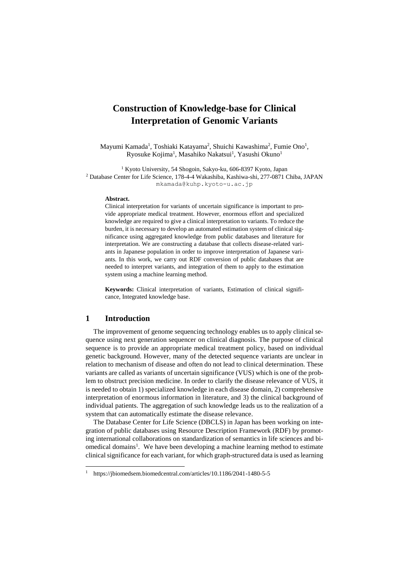## **Construction of Knowledge-base for Clinical Interpretation of Genomic Variants**

Mayumi Kamada<sup>1</sup>, Toshiaki Katayama<sup>2</sup>, Shuichi Kawashima<sup>2</sup>, Fumie Ono<sup>1</sup>, Ryosuke Kojima<sup>1</sup>, Masahiko Nakatsui<sup>1</sup>, Yasushi Okuno<sup>1</sup>

<sup>1</sup> Kyoto University, 54 Shogoin, Sakyo-ku, 606-8397 Kyoto, Japan <sup>2</sup> Database Center for Life Science, 178-4-4 Wakashiba, Kashiwa-shi, 277-0871 Chiba, JAPAN mkamada@kuhp.kyoto-u.ac.jp

## **Abstract.**

Clinical interpretation for variants of uncertain significance is important to provide appropriate medical treatment. However, enormous effort and specialized knowledge are required to give a clinical interpretation to variants. To reduce the burden, it is necessary to develop an automated estimation system of clinical significance using aggregated knowledge from public databases and literature for interpretation. We are constructing a database that collects disease-related variants in Japanese population in order to improve interpretation of Japanese variants. In this work, we carry out RDF conversion of public databases that are needed to interpret variants, and integration of them to apply to the estimation system using a machine learning method.

**Keywords:** Clinical interpretation of variants, Estimation of clinical significance, Integrated knowledge base.

## **1 Introduction**

 $\overline{a}$ 

The improvement of genome sequencing technology enables us to apply clinical sequence using next generation sequencer on clinical diagnosis. The purpose of clinical sequence is to provide an appropriate medical treatment policy, based on individual genetic background. However, many of the detected sequence variants are unclear in relation to mechanism of disease and often do not lead to clinical determination. These variants are called as variants of uncertain significance (VUS) which is one of the problem to obstruct precision medicine. In order to clarify the disease relevance of VUS, it is needed to obtain 1) specialized knowledge in each disease domain, 2) comprehensive interpretation of enormous information in literature, and 3) the clinical background of individual patients. The aggregation of such knowledge leads us to the realization of a system that can automatically estimate the disease relevance.

The Database Center for Life Science (DBCLS) in Japan has been working on integration of public databases using Resource Description Framework (RDF) by promoting international collaborations on standardization of semantics in life sciences and biomedical domains<sup>1</sup>. We have been developing a machine learning method to estimate clinical significance for each variant, for which graph-structured data is used as learning

<sup>1</sup> https://jbiomedsem.biomedcentral.com/articles/10.1186/2041-1480-5-5